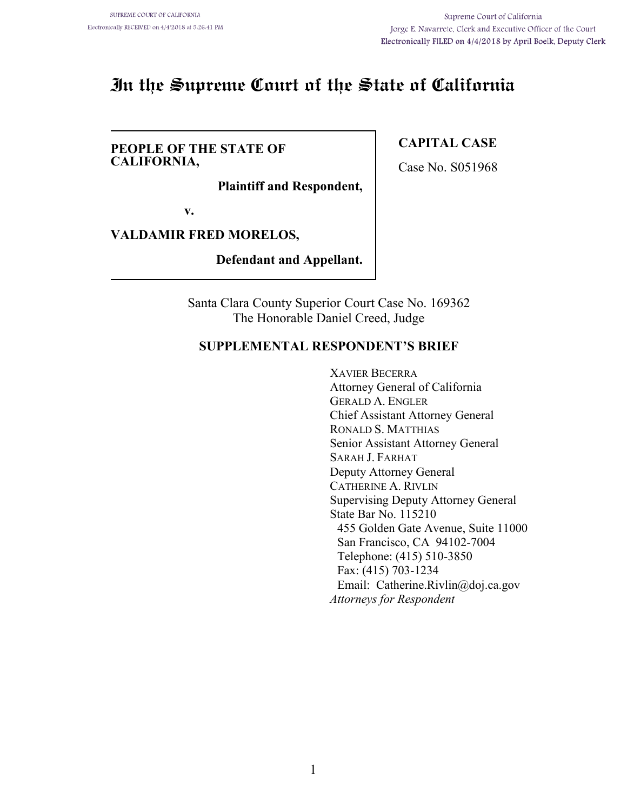# **In the Supreme Court of the State of California**

#### **PEOPLE OF THE STATE OF CALIFORNIA,**

**Plaintiff and Respondent,**

**v.**

### **VALDAMIR FRED MORELOS,**

**Defendant and Appellant.**

Santa Clara County Superior Court Case No. 169362 The Honorable Daniel Creed, Judge

### **SUPPLEMENTAL RESPONDENT'S BRIEF**

XAVIER BECERRA Attorney General of California GERALD A. ENGLER Chief Assistant Attorney General RONALD S. MATTHIAS Senior Assistant Attorney General SARAH J. FARHAT Deputy Attorney General CATHERINE A. RIVLIN Supervising Deputy Attorney General State Bar No. 115210 455 Golden Gate Avenue, Suite 11000 San Francisco, CA 94102-7004 Telephone: (415) 510-3850 Fax: (415) 703-1234 Email: Catherine.Rivlin@doj.ca.gov *Attorneys for Respondent*

### **CAPITAL CASE**

Case No. S051968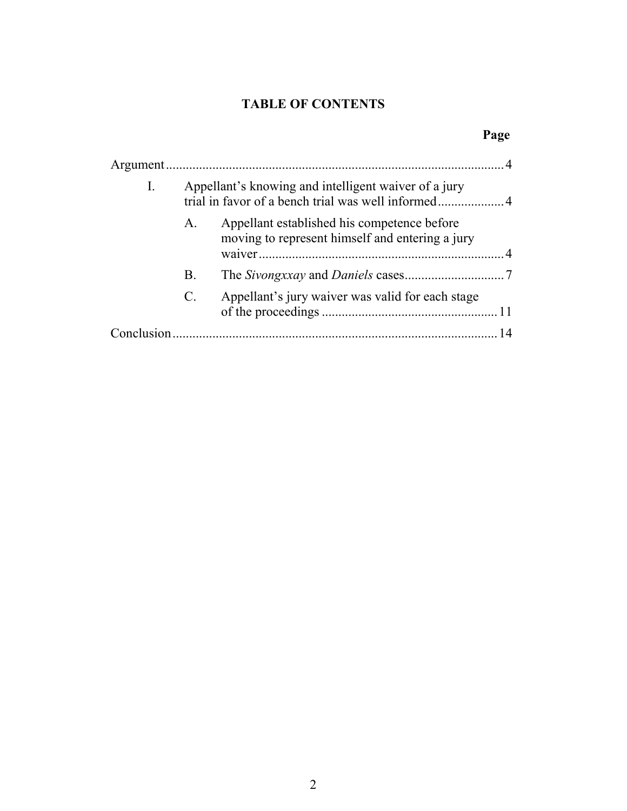## **TABLE OF CONTENTS**

## **Page**

| I. | Appellant's knowing and intelligent waiver of a jury |                                                                                                |  |
|----|------------------------------------------------------|------------------------------------------------------------------------------------------------|--|
|    | $A_{\cdot}$                                          | Appellant established his competence before<br>moving to represent himself and entering a jury |  |
|    | Β.                                                   |                                                                                                |  |
|    | $\mathcal{C}$ .                                      | Appellant's jury waiver was valid for each stage                                               |  |
|    |                                                      |                                                                                                |  |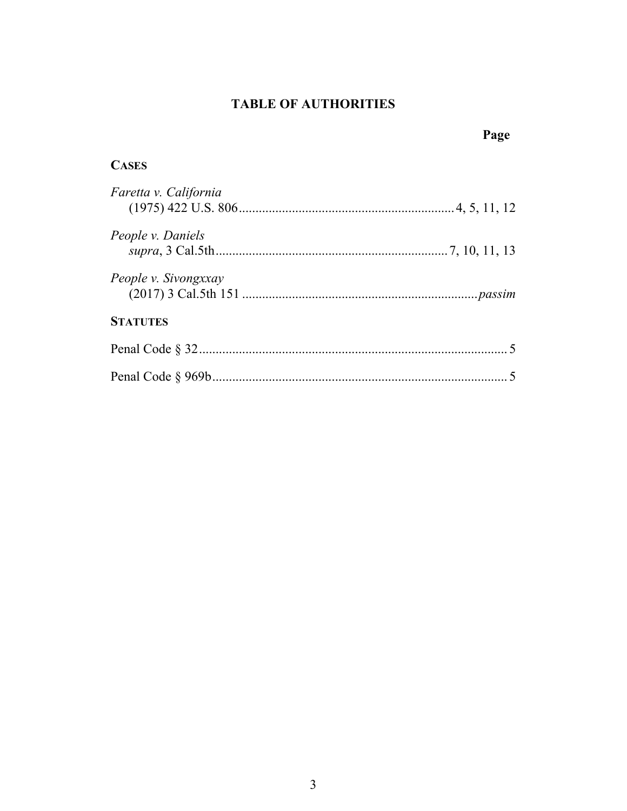## **TABLE OF AUTHORITIES**

|                       | Page |
|-----------------------|------|
| <b>CASES</b>          |      |
| Faretta v. California |      |
| People v. Daniels     |      |
| People v. Sivongxxay  |      |
| <b>STATUTES</b>       |      |
|                       |      |
|                       |      |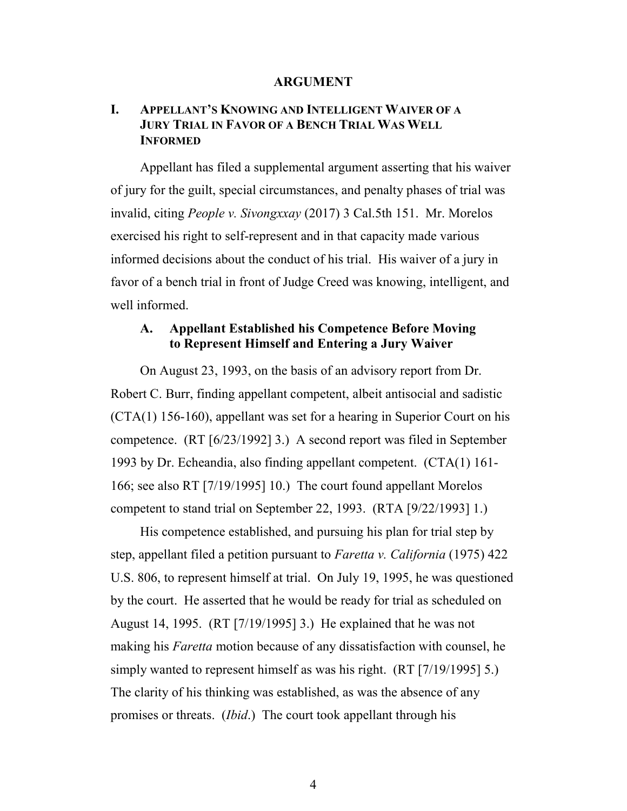#### **ARGUMENT**

### **I. APPELLANT'S KNOWING AND INTELLIGENT WAIVER OF A JURY TRIAL IN FAVOR OF A BENCH TRIAL WAS WELL INFORMED**

Appellant has filed a supplemental argument asserting that his waiver of jury for the guilt, special circumstances, and penalty phases of trial was invalid, citing *People v. Sivongxxay* (2017) 3 Cal.5th 151. Mr. Morelos exercised his right to self-represent and in that capacity made various informed decisions about the conduct of his trial. His waiver of a jury in favor of a bench trial in front of Judge Creed was knowing, intelligent, and well informed.

#### **A. Appellant Established his Competence Before Moving to Represent Himself and Entering a Jury Waiver**

On August 23, 1993, on the basis of an advisory report from Dr. Robert C. Burr, finding appellant competent, albeit antisocial and sadistic (CTA(1) 156-160), appellant was set for a hearing in Superior Court on his competence. (RT [6/23/1992] 3.) A second report was filed in September 1993 by Dr. Echeandia, also finding appellant competent. (CTA(1) 161- 166; see also RT [7/19/1995] 10.) The court found appellant Morelos competent to stand trial on September 22, 1993. (RTA [9/22/1993] 1.)

His competence established, and pursuing his plan for trial step by step, appellant filed a petition pursuant to *Faretta v. California* (1975) 422 U.S. 806, to represent himself at trial. On July 19, 1995, he was questioned by the court. He asserted that he would be ready for trial as scheduled on August 14, 1995. (RT [7/19/1995] 3.) He explained that he was not making his *Faretta* motion because of any dissatisfaction with counsel, he simply wanted to represent himself as was his right. (RT [7/19/1995] 5.) The clarity of his thinking was established, as was the absence of any promises or threats. (*Ibid*.) The court took appellant through his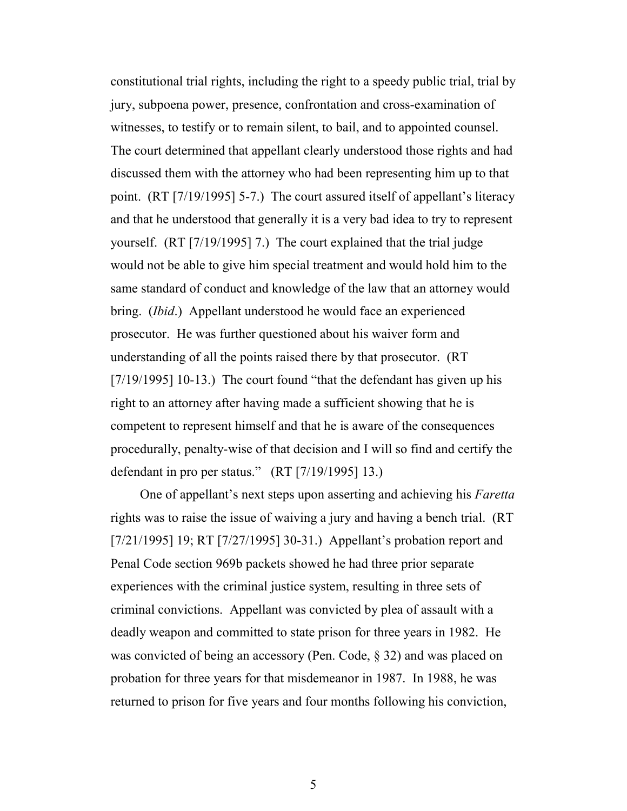constitutional trial rights, including the right to a speedy public trial, trial by jury, subpoena power, presence, confrontation and cross-examination of witnesses, to testify or to remain silent, to bail, and to appointed counsel. The court determined that appellant clearly understood those rights and had discussed them with the attorney who had been representing him up to that point. (RT [7/19/1995] 5-7.) The court assured itself of appellant's literacy and that he understood that generally it is a very bad idea to try to represent yourself. (RT [7/19/1995] 7.) The court explained that the trial judge would not be able to give him special treatment and would hold him to the same standard of conduct and knowledge of the law that an attorney would bring. (*Ibid*.) Appellant understood he would face an experienced prosecutor. He was further questioned about his waiver form and understanding of all the points raised there by that prosecutor. (RT [7/19/1995] 10-13.) The court found "that the defendant has given up his right to an attorney after having made a sufficient showing that he is competent to represent himself and that he is aware of the consequences procedurally, penalty-wise of that decision and I will so find and certify the defendant in pro per status." (RT [7/19/1995] 13.)

One of appellant's next steps upon asserting and achieving his *Faretta* rights was to raise the issue of waiving a jury and having a bench trial. (RT [7/21/1995] 19; RT [7/27/1995] 30-31.) Appellant's probation report and Penal Code section 969b packets showed he had three prior separate experiences with the criminal justice system, resulting in three sets of criminal convictions. Appellant was convicted by plea of assault with a deadly weapon and committed to state prison for three years in 1982. He was convicted of being an accessory (Pen. Code, § 32) and was placed on probation for three years for that misdemeanor in 1987. In 1988, he was returned to prison for five years and four months following his conviction,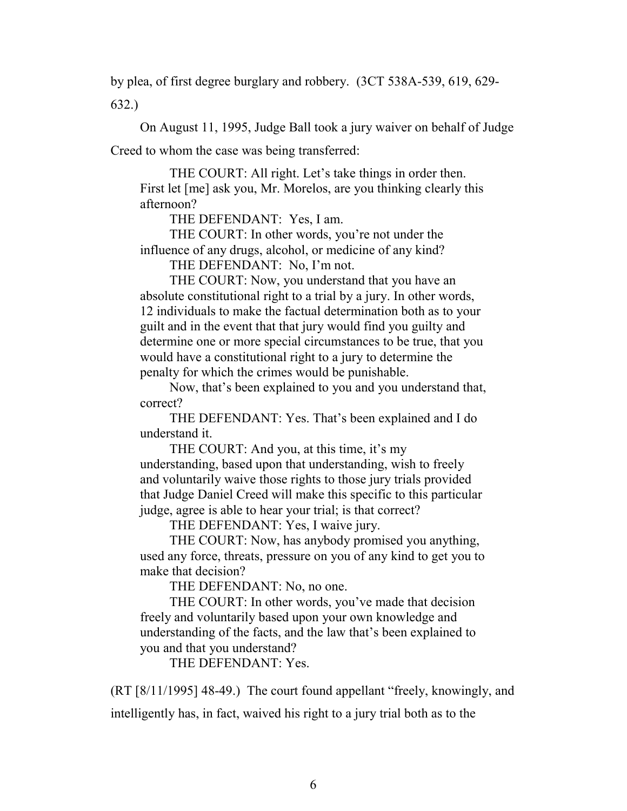by plea, of first degree burglary and robbery. (3CT 538A-539, 619, 629- 632.)

On August 11, 1995, Judge Ball took a jury waiver on behalf of Judge Creed to whom the case was being transferred:

THE COURT: All right. Let's take things in order then. First let [me] ask you, Mr. Morelos, are you thinking clearly this afternoon?

THE DEFENDANT: Yes, I am.

THE COURT: In other words, you're not under the influence of any drugs, alcohol, or medicine of any kind?

THE DEFENDANT: No, I'm not.

THE COURT: Now, you understand that you have an absolute constitutional right to a trial by a jury. In other words, 12 individuals to make the factual determination both as to your guilt and in the event that that jury would find you guilty and determine one or more special circumstances to be true, that you would have a constitutional right to a jury to determine the penalty for which the crimes would be punishable.

Now, that's been explained to you and you understand that, correct?

THE DEFENDANT: Yes. That's been explained and I do understand it.

THE COURT: And you, at this time, it's my understanding, based upon that understanding, wish to freely and voluntarily waive those rights to those jury trials provided that Judge Daniel Creed will make this specific to this particular judge, agree is able to hear your trial; is that correct?

THE DEFENDANT: Yes, I waive jury.

THE COURT: Now, has anybody promised you anything, used any force, threats, pressure on you of any kind to get you to make that decision?

THE DEFENDANT: No, no one.

THE COURT: In other words, you've made that decision freely and voluntarily based upon your own knowledge and understanding of the facts, and the law that's been explained to you and that you understand?

THE DEFENDANT: Yes.

(RT [8/11/1995] 48-49.) The court found appellant "freely, knowingly, and

intelligently has, in fact, waived his right to a jury trial both as to the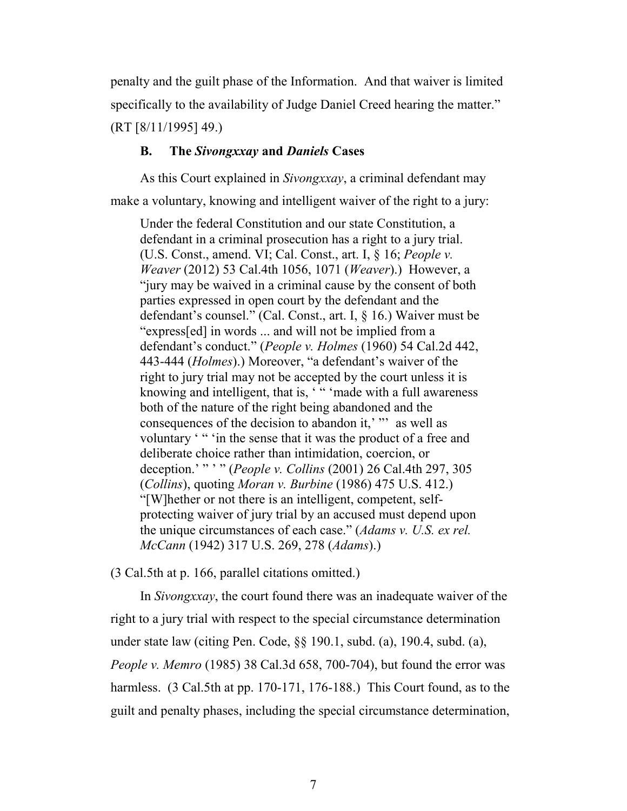penalty and the guilt phase of the Information. And that waiver is limited specifically to the availability of Judge Daniel Creed hearing the matter." (RT [8/11/1995] 49.)

#### **B. The** *Sivongxxay* **and** *Daniels* **Cases**

As this Court explained in *Sivongxxay*, a criminal defendant may make a voluntary, knowing and intelligent waiver of the right to a jury:

Under the federal Constitution and our state Constitution, a defendant in a criminal prosecution has a right to a jury trial. (U.S. Const., amend. VI; Cal. Const., art. I, § 16; *People v. Weaver* (2012) 53 Cal.4th 1056, 1071 (*Weaver*).) However, a "jury may be waived in a criminal cause by the consent of both parties expressed in open court by the defendant and the defendant's counsel." (Cal. Const., art. I, § 16.) Waiver must be "express[ed] in words ... and will not be implied from a defendant's conduct." (*People v. Holmes* (1960) 54 Cal.2d 442, 443-444 (*Holmes*).) Moreover, "a defendant's waiver of the right to jury trial may not be accepted by the court unless it is knowing and intelligent, that is, "" 'made with a full awareness both of the nature of the right being abandoned and the consequences of the decision to abandon it,' "' as well as voluntary '" 'in the sense that it was the product of a free and deliberate choice rather than intimidation, coercion, or deception.' " ' " (*People v. Collins* (2001) 26 Cal.4th 297, 305 (*Collins*), quoting *Moran v. Burbine* (1986) 475 U.S. 412.) "[W]hether or not there is an intelligent, competent, selfprotecting waiver of jury trial by an accused must depend upon the unique circumstances of each case." (*Adams v. U.S. ex rel. McCann* (1942) 317 U.S. 269, 278 (*Adams*).)

(3 Cal.5th at p. 166, parallel citations omitted.)

In *Sivongxxay*, the court found there was an inadequate waiver of the right to a jury trial with respect to the special circumstance determination under state law (citing Pen. Code, §§ 190.1, subd. (a), 190.4, subd. (a), *People v. Memro* (1985) 38 Cal.3d 658, 700-704), but found the error was harmless. (3 Cal.5th at pp. 170-171, 176-188.) This Court found, as to the guilt and penalty phases, including the special circumstance determination,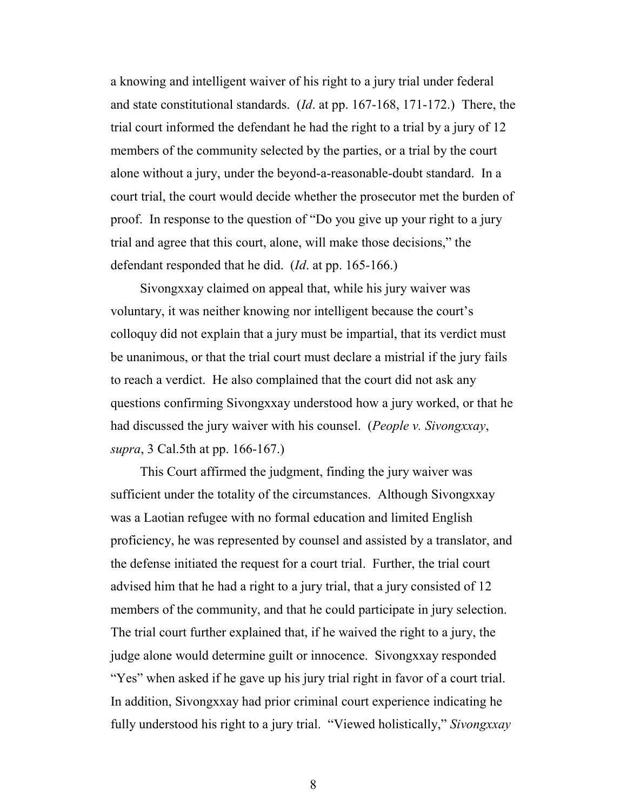a knowing and intelligent waiver of his right to a jury trial under federal and state constitutional standards. (*Id*. at pp. 167-168, 171-172.) There, the trial court informed the defendant he had the right to a trial by a jury of 12 members of the community selected by the parties, or a trial by the court alone without a jury, under the beyond-a-reasonable-doubt standard. In a court trial, the court would decide whether the prosecutor met the burden of proof. In response to the question of "Do you give up your right to a jury trial and agree that this court, alone, will make those decisions," the defendant responded that he did. (*Id*. at pp. 165-166.)

Sivongxxay claimed on appeal that, while his jury waiver was voluntary, it was neither knowing nor intelligent because the court's colloquy did not explain that a jury must be impartial, that its verdict must be unanimous, or that the trial court must declare a mistrial if the jury fails to reach a verdict. He also complained that the court did not ask any questions confirming Sivongxxay understood how a jury worked, or that he had discussed the jury waiver with his counsel. (*People v. Sivongxxay*, *supra*, 3 Cal.5th at pp. 166-167.)

This Court affirmed the judgment, finding the jury waiver was sufficient under the totality of the circumstances. Although Sivongxxay was a Laotian refugee with no formal education and limited English proficiency, he was represented by counsel and assisted by a translator, and the defense initiated the request for a court trial. Further, the trial court advised him that he had a right to a jury trial, that a jury consisted of 12 members of the community, and that he could participate in jury selection. The trial court further explained that, if he waived the right to a jury, the judge alone would determine guilt or innocence. Sivongxxay responded "Yes" when asked if he gave up his jury trial right in favor of a court trial. In addition, Sivongxxay had prior criminal court experience indicating he fully understood his right to a jury trial. "Viewed holistically," *Sivongxxay*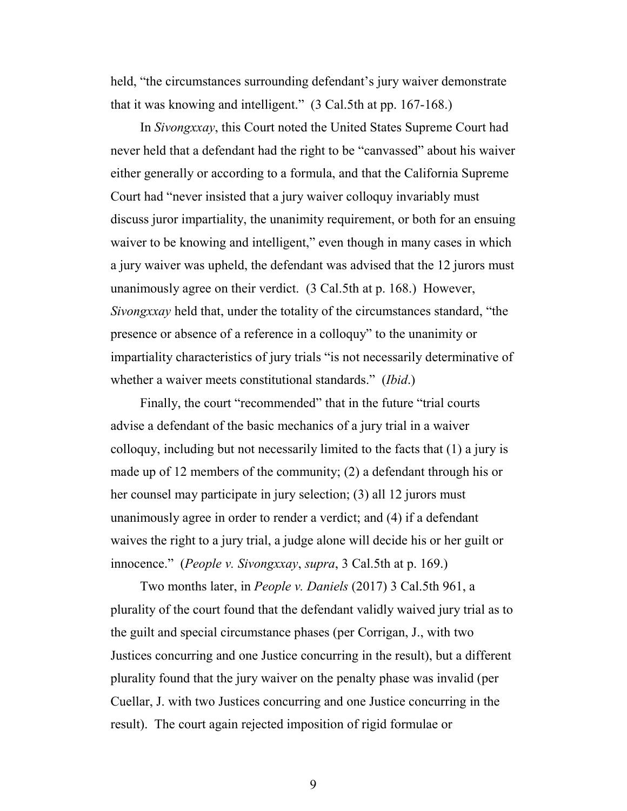held, "the circumstances surrounding defendant's jury waiver demonstrate that it was knowing and intelligent." (3 Cal.5th at pp. 167-168.)

In *Sivongxxay*, this Court noted the United States Supreme Court had never held that a defendant had the right to be "canvassed" about his waiver either generally or according to a formula, and that the California Supreme Court had "never insisted that a jury waiver colloquy invariably must discuss juror impartiality, the unanimity requirement, or both for an ensuing waiver to be knowing and intelligent," even though in many cases in which a jury waiver was upheld, the defendant was advised that the 12 jurors must unanimously agree on their verdict. (3 Cal.5th at p. 168.) However, *Sivongxxay* held that, under the totality of the circumstances standard, "the presence or absence of a reference in a colloquy" to the unanimity or impartiality characteristics of jury trials "is not necessarily determinative of whether a waiver meets constitutional standards." (*Ibid*.)

Finally, the court "recommended" that in the future "trial courts advise a defendant of the basic mechanics of a jury trial in a waiver colloquy, including but not necessarily limited to the facts that (1) a jury is made up of 12 members of the community; (2) a defendant through his or her counsel may participate in jury selection; (3) all 12 jurors must unanimously agree in order to render a verdict; and (4) if a defendant waives the right to a jury trial, a judge alone will decide his or her guilt or innocence." (*People v. Sivongxxay*, *supra*, 3 Cal.5th at p. 169.)

Two months later, in *People v. Daniels* (2017) 3 Cal.5th 961, a plurality of the court found that the defendant validly waived jury trial as to the guilt and special circumstance phases (per Corrigan, J., with two Justices concurring and one Justice concurring in the result), but a different plurality found that the jury waiver on the penalty phase was invalid (per Cuellar, J. with two Justices concurring and one Justice concurring in the result). The court again rejected imposition of rigid formulae or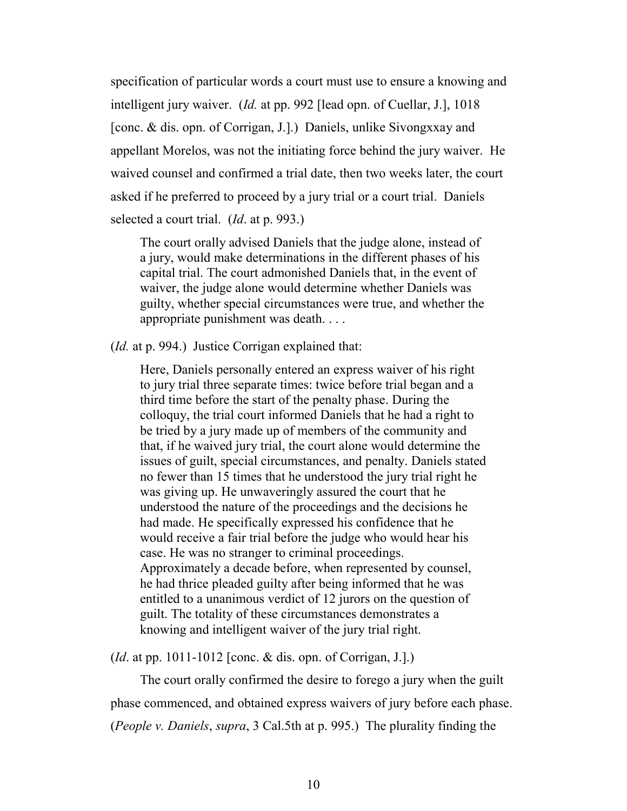specification of particular words a court must use to ensure a knowing and intelligent jury waiver. (*Id.* at pp. 992 [lead opn. of Cuellar, J.], 1018 [conc. & dis. opn. of Corrigan, J.].) Daniels, unlike Sivongxxay and appellant Morelos, was not the initiating force behind the jury waiver. He waived counsel and confirmed a trial date, then two weeks later, the court asked if he preferred to proceed by a jury trial or a court trial. Daniels selected a court trial. (*Id*. at p. 993.)

The court orally advised Daniels that the judge alone, instead of a jury, would make determinations in the different phases of his capital trial. The court admonished Daniels that, in the event of waiver, the judge alone would determine whether Daniels was guilty, whether special circumstances were true, and whether the appropriate punishment was death. . . .

(*Id.* at p. 994.) Justice Corrigan explained that:

Here, Daniels personally entered an express waiver of his right to jury trial three separate times: twice before trial began and a third time before the start of the penalty phase. During the colloquy, the trial court informed Daniels that he had a right to be tried by a jury made up of members of the community and that, if he waived jury trial, the court alone would determine the issues of guilt, special circumstances, and penalty. Daniels stated no fewer than 15 times that he understood the jury trial right he was giving up. He unwaveringly assured the court that he understood the nature of the proceedings and the decisions he had made. He specifically expressed his confidence that he would receive a fair trial before the judge who would hear his case. He was no stranger to criminal proceedings. Approximately a decade before, when represented by counsel, he had thrice pleaded guilty after being informed that he was entitled to a unanimous verdict of 12 jurors on the question of guilt. The totality of these circumstances demonstrates a knowing and intelligent waiver of the jury trial right.

(*Id*. at pp. 1011-1012 [conc. & dis. opn. of Corrigan, J.].)

The court orally confirmed the desire to forego a jury when the guilt phase commenced, and obtained express waivers of jury before each phase. (*People v. Daniels*, *supra*, 3 Cal.5th at p. 995.) The plurality finding the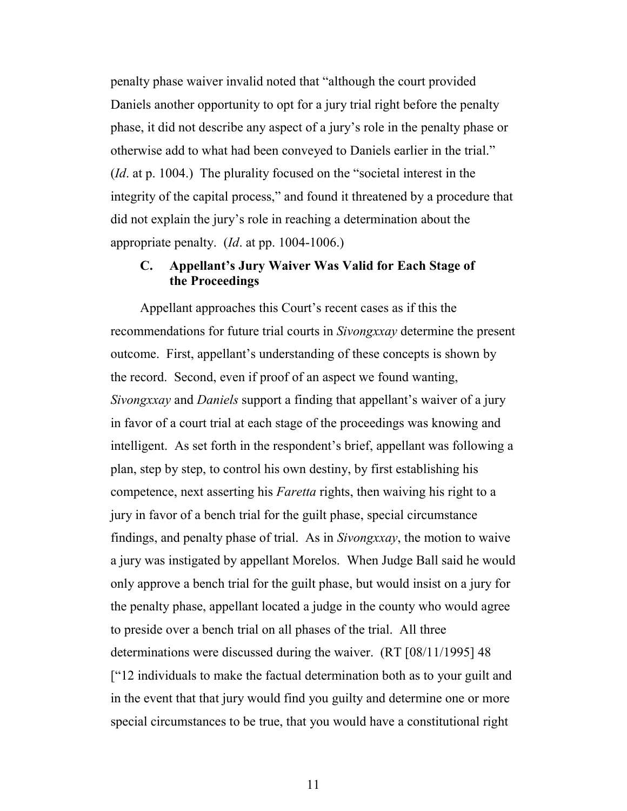penalty phase waiver invalid noted that "although the court provided Daniels another opportunity to opt for a jury trial right before the penalty phase, it did not describe any aspect of a jury's role in the penalty phase or otherwise add to what had been conveyed to Daniels earlier in the trial." (*Id*. at p. 1004.) The plurality focused on the "societal interest in the integrity of the capital process," and found it threatened by a procedure that did not explain the jury's role in reaching a determination about the appropriate penalty. (*Id*. at pp. 1004-1006.)

### **C. Appellant's Jury Waiver Was Valid for Each Stage of the Proceedings**

Appellant approaches this Court's recent cases as if this the recommendations for future trial courts in *Sivongxxay* determine the present outcome. First, appellant's understanding of these concepts is shown by the record. Second, even if proof of an aspect we found wanting, *Sivongxxay* and *Daniels* support a finding that appellant's waiver of a jury in favor of a court trial at each stage of the proceedings was knowing and intelligent. As set forth in the respondent's brief, appellant was following a plan, step by step, to control his own destiny, by first establishing his competence, next asserting his *Faretta* rights, then waiving his right to a jury in favor of a bench trial for the guilt phase, special circumstance findings, and penalty phase of trial. As in *Sivongxxay*, the motion to waive a jury was instigated by appellant Morelos. When Judge Ball said he would only approve a bench trial for the guilt phase, but would insist on a jury for the penalty phase, appellant located a judge in the county who would agree to preside over a bench trial on all phases of the trial. All three determinations were discussed during the waiver. (RT [08/11/1995] 48 ["12 individuals to make the factual determination both as to your guilt and in the event that that jury would find you guilty and determine one or more special circumstances to be true, that you would have a constitutional right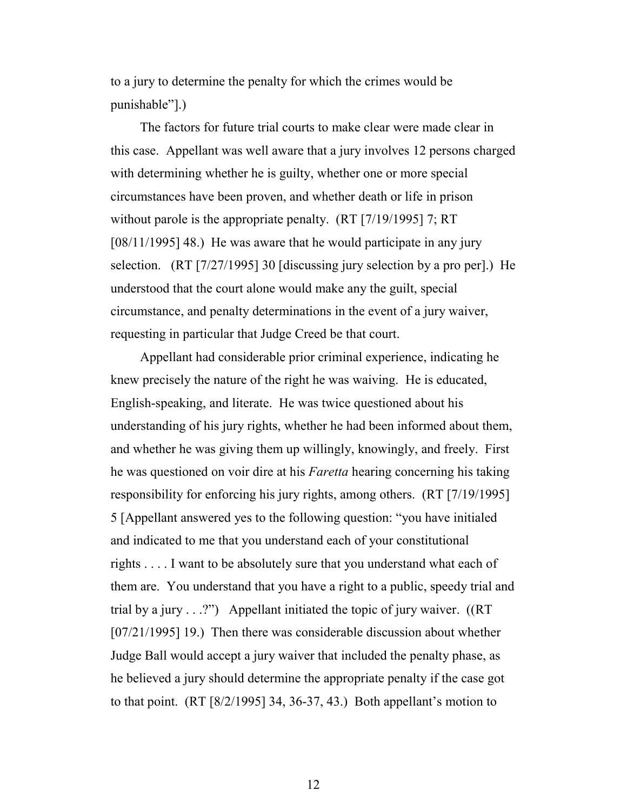to a jury to determine the penalty for which the crimes would be punishable"].)

The factors for future trial courts to make clear were made clear in this case. Appellant was well aware that a jury involves 12 persons charged with determining whether he is guilty, whether one or more special circumstances have been proven, and whether death or life in prison without parole is the appropriate penalty. (RT [7/19/1995] 7; RT [08/11/1995] 48.) He was aware that he would participate in any jury selection. (RT [7/27/1995] 30 [discussing jury selection by a pro per].) He understood that the court alone would make any the guilt, special circumstance, and penalty determinations in the event of a jury waiver, requesting in particular that Judge Creed be that court.

Appellant had considerable prior criminal experience, indicating he knew precisely the nature of the right he was waiving. He is educated, English-speaking, and literate. He was twice questioned about his understanding of his jury rights, whether he had been informed about them, and whether he was giving them up willingly, knowingly, and freely. First he was questioned on voir dire at his *Faretta* hearing concerning his taking responsibility for enforcing his jury rights, among others. (RT [7/19/1995] 5 [Appellant answered yes to the following question: "you have initialed and indicated to me that you understand each of your constitutional rights . . . . I want to be absolutely sure that you understand what each of them are. You understand that you have a right to a public, speedy trial and trial by a jury  $\ldots$ ?") Appellant initiated the topic of jury waiver. ((RT) [07/21/1995] 19.) Then there was considerable discussion about whether Judge Ball would accept a jury waiver that included the penalty phase, as he believed a jury should determine the appropriate penalty if the case got to that point. (RT [8/2/1995] 34, 36-37, 43.) Both appellant's motion to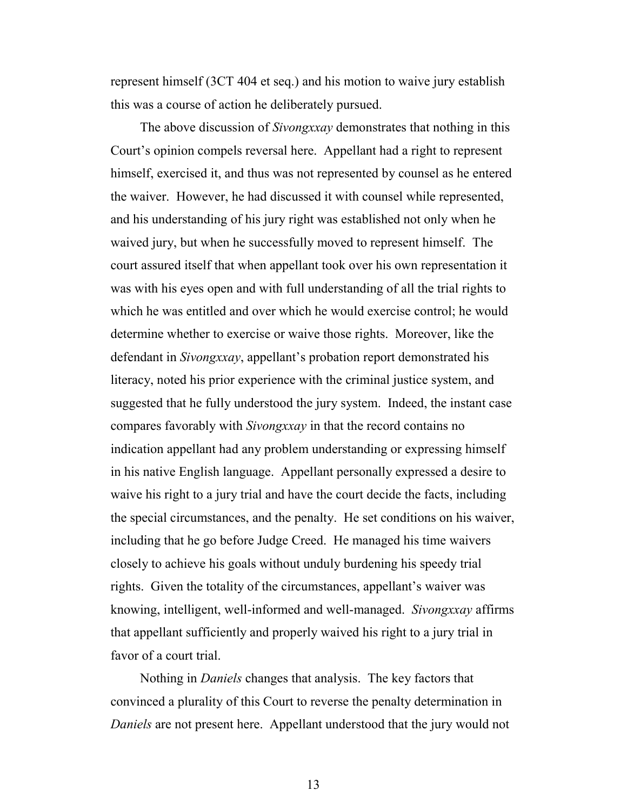represent himself (3CT 404 et seq.) and his motion to waive jury establish this was a course of action he deliberately pursued.

The above discussion of *Sivongxxay* demonstrates that nothing in this Court's opinion compels reversal here. Appellant had a right to represent himself, exercised it, and thus was not represented by counsel as he entered the waiver. However, he had discussed it with counsel while represented, and his understanding of his jury right was established not only when he waived jury, but when he successfully moved to represent himself. The court assured itself that when appellant took over his own representation it was with his eyes open and with full understanding of all the trial rights to which he was entitled and over which he would exercise control; he would determine whether to exercise or waive those rights. Moreover, like the defendant in *Sivongxxay*, appellant's probation report demonstrated his literacy, noted his prior experience with the criminal justice system, and suggested that he fully understood the jury system. Indeed, the instant case compares favorably with *Sivongxxay* in that the record contains no indication appellant had any problem understanding or expressing himself in his native English language. Appellant personally expressed a desire to waive his right to a jury trial and have the court decide the facts, including the special circumstances, and the penalty. He set conditions on his waiver, including that he go before Judge Creed. He managed his time waivers closely to achieve his goals without unduly burdening his speedy trial rights. Given the totality of the circumstances, appellant's waiver was knowing, intelligent, well-informed and well-managed. *Sivongxxay* affirms that appellant sufficiently and properly waived his right to a jury trial in favor of a court trial.

Nothing in *Daniels* changes that analysis. The key factors that convinced a plurality of this Court to reverse the penalty determination in *Daniels* are not present here. Appellant understood that the jury would not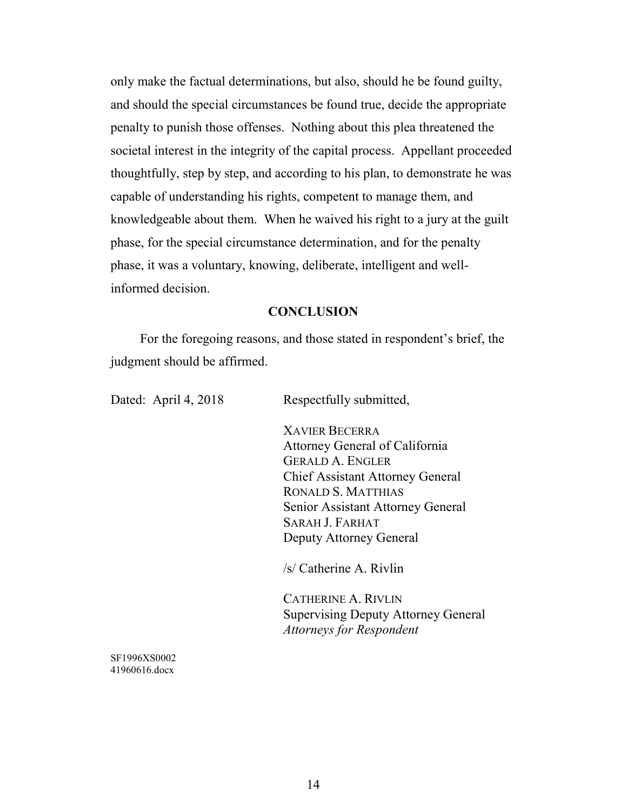only make the factual determinations, but also, should he be found guilty, and should the special circumstances be found true, decide the appropriate penalty to punish those offenses. Nothing about this plea threatened the societal interest in the integrity of the capital process. Appellant proceeded thoughtfully, step by step, and according to his plan, to demonstrate he was capable of understanding his rights, competent to manage them, and knowledgeable about them. When he waived his right to a jury at the guilt phase, for the special circumstance determination, and for the penalty phase, it was a voluntary, knowing, deliberate, intelligent and wellinformed decision.

#### **CONCLUSION**

For the foregoing reasons, and those stated in respondent's brief, the judgment should be affirmed.

Dated: April 4, 2018 Respectfully submitted,

XAVIER BECERRA Attorney General of California GERALD A. ENGLER Chief Assistant Attorney General RONALD S. MATTHIAS Senior Assistant Attorney General SARAH J. FARHAT Deputy Attorney General

/s/ Catherine A. Rivlin

CATHERINE A. RIVLIN Supervising Deputy Attorney General *Attorneys for Respondent*

SF1996XS0002 41960616.docx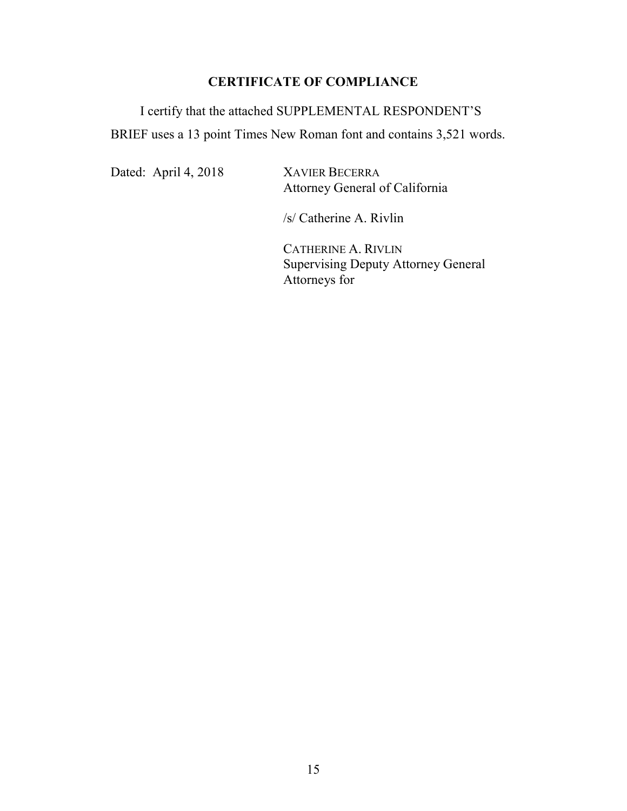## **CERTIFICATE OF COMPLIANCE**

I certify that the attached SUPPLEMENTAL RESPONDENT'S BRIEF uses a 13 point Times New Roman font and contains 3,521 words.

Dated: April 4, 2018 XAVIER BECERRA

Attorney General of California

/s/ Catherine A. Rivlin

CATHERINE A. RIVLIN Supervising Deputy Attorney General Attorneys for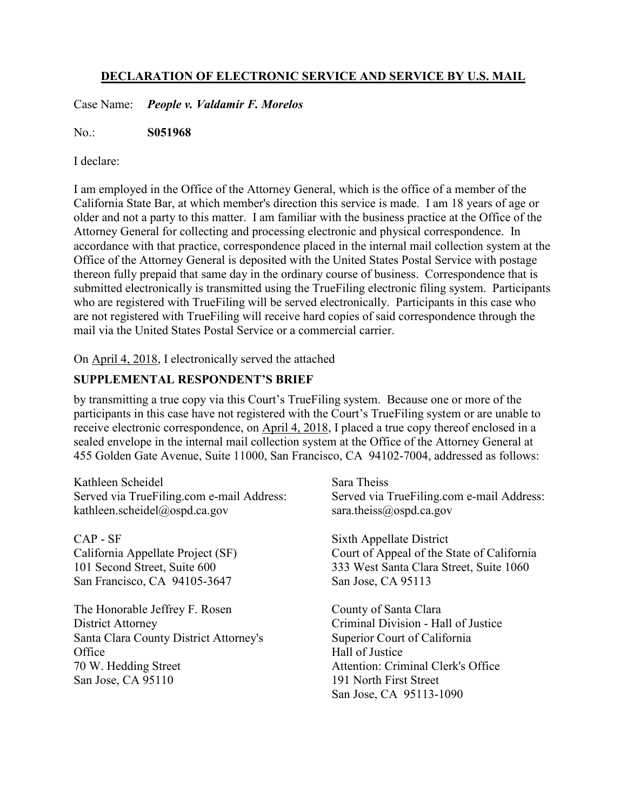### **DECLARATION OF ELECTRONIC SERVICE AND SERVICE BY U.S. MAIL**

Case Name: *People v. Valdamir F. Morelos*

No.: **S051968**

I declare:

I am employed in the Office of the Attorney General, which is the office of a member of the California State Bar, at which member's direction this service is made. I am 18 years of age or older and not a party to this matter. I am familiar with the business practice at the Office of the Attorney General for collecting and processing electronic and physical correspondence. In accordance with that practice, correspondence placed in the internal mail collection system at the Office of the Attorney General is deposited with the United States Postal Service with postage thereon fully prepaid that same day in the ordinary course of business. Correspondence that is submitted electronically is transmitted using the TrueFiling electronic filing system. Participants who are registered with TrueFiling will be served electronically. Participants in this case who are not registered with TrueFiling will receive hard copies of said correspondence through the mail via the United States Postal Service or a commercial carrier.

On April 4, 2018, I electronically served the attached

### **SUPPLEMENTAL RESPONDENT'S BRIEF**

by transmitting a true copy via this Court's TrueFiling system. Because one or more of the participants in this case have not registered with the Court's TrueFiling system or are unable to receive electronic correspondence, on April 4, 2018, I placed a true copy thereof enclosed in a sealed envelope in the internal mail collection system at the Office of the Attorney General at 455 Golden Gate Avenue, Suite 11000, San Francisco, CA 94102-7004, addressed as follows:

Kathleen Scheidel Served via TrueFiling.com e-mail Address: kathleen.scheidel@ospd.ca.gov

CAP - SF California Appellate Project (SF) 101 Second Street, Suite 600 San Francisco, CA 94105-3647

The Honorable Jeffrey F. Rosen District Attorney Santa Clara County District Attorney's **Office** 70 W. Hedding Street San Jose, CA 95110

Sara Theiss Served via TrueFiling.com e-mail Address: sara.theiss@ospd.ca.gov

Sixth Appellate District Court of Appeal of the State of California 333 West Santa Clara Street, Suite 1060 San Jose, CA 95113

County of Santa Clara Criminal Division - Hall of Justice Superior Court of California Hall of Justice Attention: Criminal Clerk's Office 191 North First Street San Jose, CA 95113-1090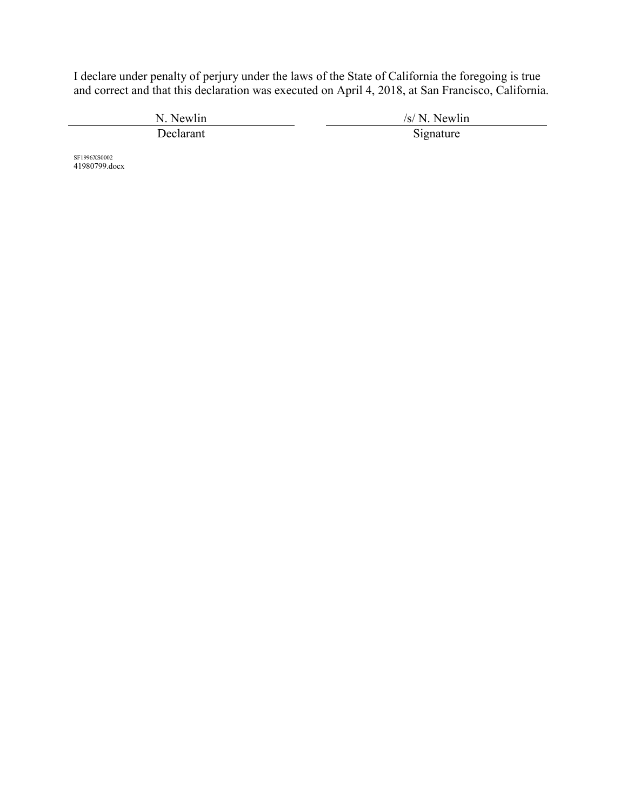I declare under penalty of perjury under the laws of the State of California the foregoing is true and correct and that this declaration was executed on April 4, 2018, at San Francisco, California.

N. Newlin /s/ N. Newlin /s/ N. Newlin /s/ N. Newlin /signature /s/ N. Newlin /signature /s/ N. Newlin /signature /s/ N. Newlin /signature /s/ N. Newlin /signature /s/ N. Newlin /signature /s/ N. Newlin /signature /s/ N. Ne Signature

SF1996XS0002 41980799.docx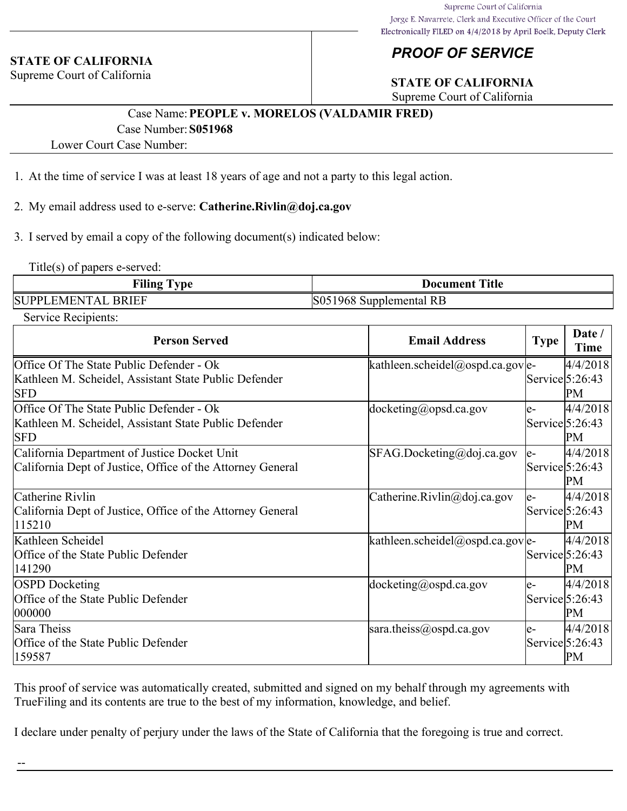#### **STATE OF CALIFORNIA**

Supreme Court of California

## *PROOF OF SERVICE*

## **STATE OF CALIFORNIA**

Supreme Court of California

## Case Name:**PEOPLE v. MORELOS (VALDAMIR FRED)** Case Number:**S051968**

Lower Court Case Number:

- 1. At the time of service I was at least 18 years of age and not a party to this legal action.
- 2. My email address used to e-serve: **Catherine.Rivlin@doj.ca.gov**
- 3. I served by email a copy of the following document(s) indicated below:

Title(s) of papers e-served:

| <b>Filing Type</b>        | <b>Document Title</b>   |
|---------------------------|-------------------------|
| <b>SUPPLEMENTAL BRIEF</b> | S051968 Supplemental RB |

Service Recipients:

| <b>Person Served</b>                                                                                            | <b>Email Address</b>              | <b>Type</b> | Date /<br>Time                             |
|-----------------------------------------------------------------------------------------------------------------|-----------------------------------|-------------|--------------------------------------------|
| Office Of The State Public Defender - Ok<br>Kathleen M. Scheidel, Assistant State Public Defender<br><b>SFD</b> | kathleen.scheidel@ospd.ca.gov e-  |             | 4/4/2018<br>$\text{Service}$ 5:26:43<br>PM |
| Office Of The State Public Defender - Ok<br>Kathleen M. Scheidel, Assistant State Public Defender<br><b>SFD</b> | docketing@opsd.ca.gov             | le-         | 4/4/2018<br>$\text{Service}$ 5:26:43<br>PM |
| California Department of Justice Docket Unit<br>California Dept of Justice, Office of the Attorney General      | $SFAG.Docketing$ @doj.ca.gov      | $e-$        | 4/4/2018<br>$\text{Service}$ 5:26:43<br>PM |
| Catherine Rivlin<br>California Dept of Justice, Office of the Attorney General<br>115210                        | Catherine.Rivlin@doj.ca.gov       | le-         | 4/4/2018<br>$\text{Service}$ 5:26:43<br>PM |
| Kathleen Scheidel<br>Office of the State Public Defender<br>141290                                              | kathleen.scheidel@ospd.ca.gov e-  |             | 4/4/2018<br>$\text{Service}$ 5:26:43<br>PM |
| <b>OSPD</b> Docketing<br>Office of the State Public Defender<br>000000                                          | $docketing(\partial)$ ospd.ca.gov | le-         | 4/4/2018<br>$\text{Service}$ 5:26:43<br>PM |
| Sara Theiss<br>Office of the State Public Defender<br>159587                                                    | sara.theiss@ospd.ca.gov           | le-         | 4/4/2018<br>$\text{Service}$ 5:26:43<br>PM |

This proof of service was automatically created, submitted and signed on my behalf through my agreements with TrueFiling and its contents are true to the best of my information, knowledge, and belief.

I declare under penalty of perjury under the laws of the State of California that the foregoing is true and correct.

--